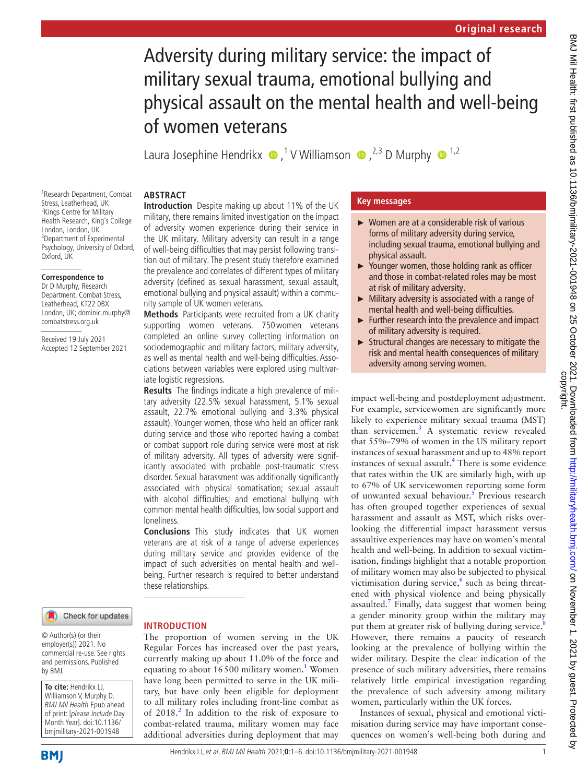# Adversity during military service: the impact of military sexual trauma, emotional bullying and physical assault on the mental health and well-being of women veterans

LauraJosephine Hendrikx  $\bullet$ ,<sup>1</sup> V Williamson  $\bullet$ ,<sup>2,3</sup> D Murphy  $\bullet$ <sup>1,2</sup>

military, there remains limited investigation on the impact of adversity women experience during their service in the UK military. Military adversity can result in a range of well-being difficulties that may persist following transition out of military. The present study therefore examined the prevalence and correlates of different types of military adversity (defined as sexual harassment, sexual assault, emotional bullying and physical assault) within a commu-

**Methods** Participants were recruited from a UK charity supporting women veterans. 750women veterans completed an online survey collecting information on sociodemographic and military factors, military adversity, as well as mental health and well-being difficulties. Associations between variables were explored using multivar-

**Results** The findings indicate a high prevalence of military adversity (22.5% sexual harassment, 5.1% sexual assault, 22.7% emotional bullying and 3.3% physical assault). Younger women, those who held an officer rank during service and those who reported having a combat or combat support role during service were most at risk of military adversity. All types of adversity were significantly associated with probable post-traumatic stress disorder. Sexual harassment was additionally significantly associated with physical somatisation; sexual assault with alcohol difficulties; and emotional bullying with common mental health difficulties, low social support and

nity sample of UK women veterans.

iate logistic regressions.

#### **ABSTRACT Introduction** Despite making up about 11% of the UK

1 Research Department, Combat Stress, Leatherhead, UK <sup>2</sup> Kings Centre for Military Health Research, King's College London, London, UK 3 Department of Experimental Psychology, University of Oxford, Oxford, UK

# **Correspondence to**

Dr D Murphy, Research Department, Combat Stress, Leatherhead, KT22 0BX London, UK; dominic.murphy@ combatstress.org.uk

Received 19 July 2021 Accepted 12 September 2021



these relationships.

loneliness.

© Author(s) (or their employer(s)) 2021. No commercial re-use. See rights and permissions. Published by BMJ.

**To cite:** Hendrikx LJ, Williamson V, Murphy D. BMJ Mil Health Epub ahead of print: [please include Day Month Year]. doi:10.1136/ bmjmilitary-2021-001948

**INTRODUCTION** The proportion of women serving in the UK Regular Forces has increased over the past years, currently making up about 11.0% of the force and equating to about [1](#page-4-0)6500 military women.<sup>1</sup> Women have long been permitted to serve in the UK military, but have only been eligible for deployment to all military roles including front-line combat as of [2](#page-4-1)018.<sup>2</sup> In addition to the risk of exposure to combat-related trauma, military women may face additional adversities during deployment that may

**Conclusions** This study indicates that UK women veterans are at risk of a range of adverse experiences during military service and provides evidence of the impact of such adversities on mental health and wellbeing. Further research is required to better understand

# **Key messages**

- ► Women are at a considerable risk of various forms of military adversity during service, including sexual trauma, emotional bullying and physical assault.
- Younger women, those holding rank as officer and those in combat-related roles may be most at risk of military adversity.
- ► Military adversity is associated with a range of mental health and well-being difficulties.
- $\blacktriangleright$  Further research into the prevalence and impact of military adversity is required.
- $\triangleright$  Structural changes are necessary to mitigate the risk and mental health consequences of military adversity among serving women.

impact well-being and postdeployment adjustment. For example, servicewomen are significantly more likely to experience military sexual trauma (MST) than servicemen.<sup>[3](#page-4-2)</sup> A systematic review revealed that 55%–79% of women in the US military report instances of sexual harassment and up to 48% report instances of sexual assault.<sup>[4](#page-5-0)</sup> There is some evidence that rates within the UK are similarly high, with up to 67% of UK servicewomen reporting some form of unwanted sexual behaviour.<sup>[5](#page-5-1)</sup> Previous research has often grouped together experiences of sexual harassment and assault as MST, which risks overlooking the differential impact harassment versus assaultive experiences may have on women's mental health and well-being. In addition to sexual victimisation, findings highlight that a notable proportion of military women may also be subjected to physical victimisation during service,<sup>[6](#page-5-2)</sup> such as being threatened with physical violence and being physically assaulted. $<sup>7</sup>$  $<sup>7</sup>$  $<sup>7</sup>$  Finally, data suggest that women being</sup> a gender minority group within the military may put them at greater risk of bullying during service.<sup>[8](#page-5-4)</sup> However, there remains a paucity of research looking at the prevalence of bullying within the wider military. Despite the clear indication of the presence of such military adversities, there remains relatively little empirical investigation regarding the prevalence of such adversity among military women, particularly within the UK forces.

Instances of sexual, physical and emotional victimisation during service may have important consequences on women's well-being both during and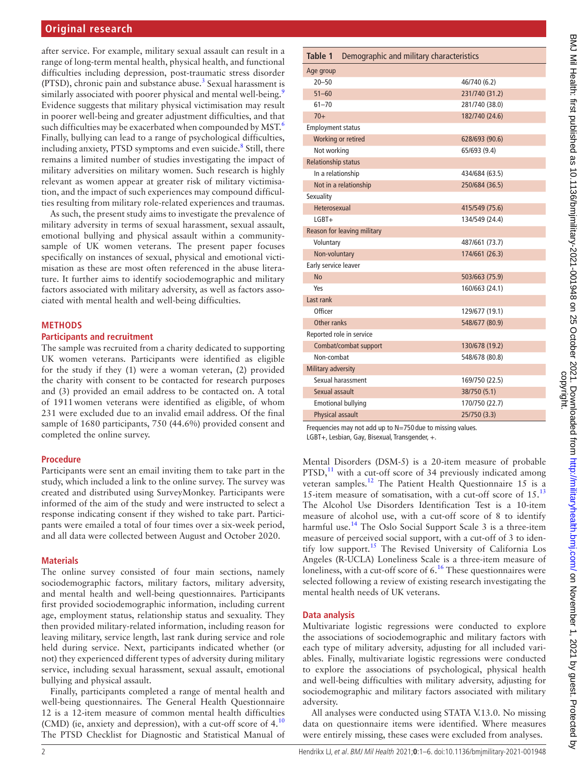after service. For example, military sexual assault can result in a range of long-term mental health, physical health, and functional difficulties including depression, post-traumatic stress disorder (PTSD), chronic pain and substance abuse.<sup>3</sup> Sexual harassment is similarly associated with poorer physical and mental well-being.<sup>9</sup> Evidence suggests that military physical victimisation may result in poorer well-being and greater adjustment difficulties, and that such difficulties may be exacerbated when compounded by  $MST^6$ . Finally, bullying can lead to a range of psychological difficulties, including anxiety, PTSD symptoms and even suicide.<sup>8</sup> Still, there remains a limited number of studies investigating the impact of military adversities on military women. Such research is highly relevant as women appear at greater risk of military victimisation, and the impact of such experiences may compound difficulties resulting from military role-related experiences and traumas.

As such, the present study aims to investigate the prevalence of military adversity in terms of sexual harassment, sexual assault, emotional bullying and physical assault within a communitysample of UK women veterans. The present paper focuses specifically on instances of sexual, physical and emotional victimisation as these are most often referenced in the abuse literature. It further aims to identify sociodemographic and military factors associated with military adversity, as well as factors associated with mental health and well-being difficulties.

#### **METHODS**

#### **Participants and recruitment**

The sample was recruited from a charity dedicated to supporting UK women veterans. Participants were identified as eligible for the study if they (1) were a woman veteran, (2) provided the charity with consent to be contacted for research purposes and (3) provided an email address to be contacted on. A total of 1911women veterans were identified as eligible, of whom 231 were excluded due to an invalid email address. Of the final sample of 1680 participants, 750 (44.6%) provided consent and completed the online survey.

#### **Procedure**

Participants were sent an email inviting them to take part in the study, which included a link to the online survey. The survey was created and distributed using SurveyMonkey. Participants were informed of the aim of the study and were instructed to select a response indicating consent if they wished to take part. Participants were emailed a total of four times over a six-week period, and all data were collected between August and October 2020.

#### **Materials**

The online survey consisted of four main sections, namely sociodemographic factors, military factors, military adversity, and mental health and well-being questionnaires. Participants first provided sociodemographic information, including current age, employment status, relationship status and sexuality. They then provided military-related information, including reason for leaving military, service length, last rank during service and role held during service. Next, participants indicated whether (or not) they experienced different types of adversity during military service, including sexual harassment, sexual assault, emotional bullying and physical assault.

Finally, participants completed a range of mental health and well-being questionnaires. The General Health Questionnaire 12 is a 12-item measure of common mental health difficulties (CMD) (ie, anxiety and depression), with a cut-off score of 4.<sup>[10](#page-5-6)</sup> The PTSD Checklist for Diagnostic and Statistical Manual of

<span id="page-1-0"></span>

|                             | Table 1 Demographic and military characteristics |                |  |
|-----------------------------|--------------------------------------------------|----------------|--|
| Age group                   |                                                  |                |  |
| $20 - 50$                   |                                                  | 46/740 (6.2)   |  |
| $51 - 60$                   |                                                  | 231/740 (31.2) |  |
| $61 - 70$                   |                                                  | 281/740 (38.0) |  |
| $70+$                       |                                                  | 182/740 (24.6) |  |
| <b>Employment status</b>    |                                                  |                |  |
| Working or retired          |                                                  | 628/693 (90.6) |  |
| Not working                 |                                                  | 65/693 (9.4)   |  |
| <b>Relationship status</b>  |                                                  |                |  |
| In a relationship           |                                                  | 434/684 (63.5) |  |
| Not in a relationship       |                                                  | 250/684 (36.5) |  |
| Sexuality                   |                                                  |                |  |
| Heterosexual                |                                                  | 415/549 (75.6) |  |
| $IGRT +$                    |                                                  | 134/549 (24.4) |  |
| Reason for leaving military |                                                  |                |  |
| Voluntary                   |                                                  | 487/661 (73.7) |  |
| Non-voluntary               |                                                  | 174/661 (26.3) |  |
| Early service leaver        |                                                  |                |  |
| No                          |                                                  | 503/663 (75.9) |  |
| Yes                         |                                                  | 160/663 (24.1) |  |
| Last rank                   |                                                  |                |  |
| Officer                     |                                                  | 129/677 (19.1) |  |
| Other ranks                 |                                                  | 548/677 (80.9) |  |
| Reported role in service    |                                                  |                |  |
|                             | Combat/combat support                            | 130/678 (19.2) |  |
| Non-combat                  |                                                  | 548/678 (80.8) |  |
| Military adversity          |                                                  |                |  |
| Sexual harassment           |                                                  | 169/750 (22.5) |  |
| Sexual assault              |                                                  | 38/750 (5.1)   |  |
| <b>Emotional bullying</b>   |                                                  | 170/750 (22.7) |  |
| Physical assault            |                                                  | 25/750 (3.3)   |  |

Frequencies may not add up to N=750 due to missing values. LGBT+, Lesbian, Gay, Bisexual, Transgender, +.

Mental Disorders (DSM-5) is a 20-item measure of probable  $PTSD$ ,<sup>[11](#page-5-7)</sup> with a cut-off score of 34 previously indicated among veteran samples[.12](#page-5-8) The Patient Health Questionnaire 15 is a 15-item measure of somatisation, with a cut-off score of 15.[13](#page-5-9) The Alcohol Use Disorders Identification Test is a 10-item measure of alcohol use, with a cut-off score of 8 to identify harmful use.<sup>[14](#page-5-10)</sup> The Oslo Social Support Scale 3 is a three-item measure of perceived social support, with a cut-off of 3 to identify low support[.15](#page-5-11) The Revised University of California Los Angeles (R-UCLA) Loneliness Scale is a three-item measure of loneliness, with a cut-off score of  $6<sup>16</sup>$ . These questionnaires were selected following a review of existing research investigating the mental health needs of UK veterans.

# **Data analysis**

Multivariate logistic regressions were conducted to explore the associations of sociodemographic and military factors with each type of military adversity, adjusting for all included variables. Finally, multivariate logistic regressions were conducted to explore the associations of psychological, physical health and well-being difficulties with military adversity, adjusting for sociodemographic and military factors associated with military adversity.

All analyses were conducted using STATA V.13.0. No missing data on questionnaire items were identified. Where measures were entirely missing, these cases were excluded from analyses.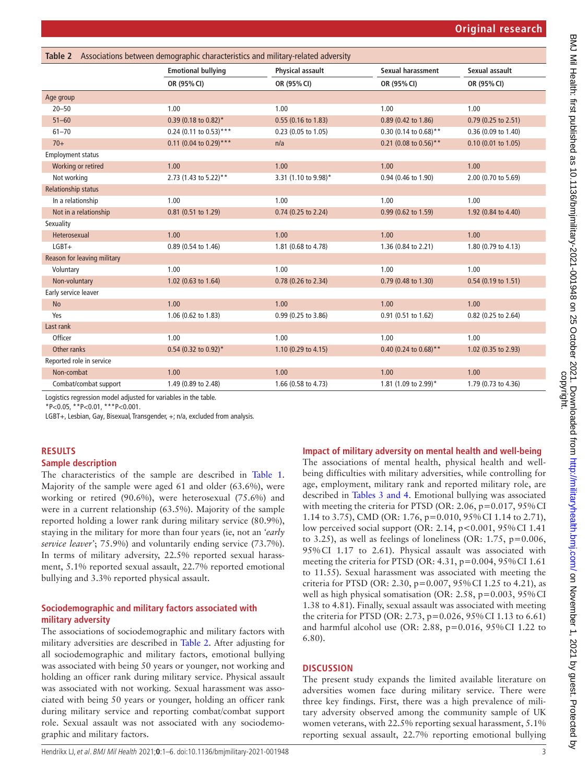<span id="page-2-0"></span>

| Associations between demographic characteristics and military-related adversity<br>Table 2 |                           |                         |                            |                       |  |
|--------------------------------------------------------------------------------------------|---------------------------|-------------------------|----------------------------|-----------------------|--|
|                                                                                            | <b>Emotional bullying</b> | <b>Physical assault</b> | Sexual harassment          | Sexual assault        |  |
|                                                                                            | OR (95% CI)               | OR (95% CI)             | OR (95% CI)                | OR (95% CI)           |  |
| Age group                                                                                  |                           |                         |                            |                       |  |
| $20 - 50$                                                                                  | 1.00                      | 1.00                    | 1.00                       | 1.00                  |  |
| $51 - 60$                                                                                  | $0.39$ (0.18 to 0.82)*    | 0.55 (0.16 to 1.83)     | $0.89$ (0.42 to 1.86)      | $0.79$ (0.25 to 2.51) |  |
| $61 - 70$                                                                                  | $0.24$ (0.11 to 0.53)***  | 0.23 (0.05 to 1.05)     | $0.30$ (0.14 to $0.68$ )** | 0.36 (0.09 to 1.40)   |  |
| $70+$                                                                                      | $0.11$ (0.04 to 0.29)***  | n/a                     | 0.21 (0.08 to 0.56)**      | $0.10$ (0.01 to 1.05) |  |
| <b>Employment status</b>                                                                   |                           |                         |                            |                       |  |
| Working or retired                                                                         | 1.00                      | 1.00                    | 1.00                       | 1.00                  |  |
| Not working                                                                                | 2.73 (1.43 to 5.22)**     | 3.31 (1.10 to 9.98)*    | 0.94 (0.46 to 1.90)        | 2.00 (0.70 to 5.69)   |  |
| <b>Relationship status</b>                                                                 |                           |                         |                            |                       |  |
| In a relationship                                                                          | 1.00                      | 1.00                    | 1.00                       | 1.00                  |  |
| Not in a relationship                                                                      | 0.81 (0.51 to 1.29)       | 0.74 (0.25 to 2.24)     | 0.99 (0.62 to 1.59)        | 1.92 (0.84 to 4.40)   |  |
| Sexuality                                                                                  |                           |                         |                            |                       |  |
| Heterosexual                                                                               | 1.00                      | 1.00                    | 1.00                       | 1.00                  |  |
| $LGBT+$                                                                                    | 0.89 (0.54 to 1.46)       | 1.81 (0.68 to 4.78)     | 1.36 (0.84 to 2.21)        | 1.80 (0.79 to 4.13)   |  |
| Reason for leaving military                                                                |                           |                         |                            |                       |  |
| Voluntary                                                                                  | 1.00                      | 1.00                    | 1.00                       | 1.00                  |  |
| Non-voluntary                                                                              | 1.02 (0.63 to 1.64)       | 0.78 (0.26 to 2.34)     | 0.79 (0.48 to 1.30)        | $0.54$ (0.19 to 1.51) |  |
| Early service leaver                                                                       |                           |                         |                            |                       |  |
| <b>No</b>                                                                                  | 1.00                      | 1.00                    | 1.00                       | 1.00                  |  |
| Yes                                                                                        | 1.06 (0.62 to 1.83)       | 0.99 (0.25 to 3.86)     | 0.91 (0.51 to 1.62)        | 0.82 (0.25 to 2.64)   |  |
| Last rank                                                                                  |                           |                         |                            |                       |  |
| Officer                                                                                    | 1.00                      | 1.00                    | 1.00                       | 1.00                  |  |
| Other ranks                                                                                | $0.54$ (0.32 to 0.92)*    | 1.10 (0.29 to 4.15)     | 0.40 (0.24 to $0.68$ )**   | 1.02 (0.35 to 2.93)   |  |
| Reported role in service                                                                   |                           |                         |                            |                       |  |
| Non-combat                                                                                 | 1.00                      | 1.00                    | 1.00                       | 1.00                  |  |
| Combat/combat support                                                                      | 1.49 (0.89 to 2.48)       | 1.66 (0.58 to 4.73)     | 1.81 (1.09 to 2.99)*       | 1.79 (0.73 to 4.36)   |  |

Logistics regression model adjusted for variables in the table.

\*P<0.05, \*\*P<0.01, \*\*\*P<0.001.

LGBT+, Lesbian, Gay, Bisexual, Transgender, +; n/a, excluded from analysis.

#### **RESULTS**

#### **Sample description**

The characteristics of the sample are described in [Table](#page-1-0) 1. Majority of the sample were aged 61 and older (63.6%), were working or retired (90.6%), were heterosexual (75.6%) and were in a current relationship (63.5%). Majority of the sample reported holding a lower rank during military service (80.9%), staying in the military for more than four years (ie, not an *'early service leaver'*; 75.9%) and voluntarily ending service (73.7%). In terms of military adversity, 22.5% reported sexual harassment, 5.1% reported sexual assault, 22.7% reported emotional bullying and 3.3% reported physical assault.

#### **Sociodemographic and military factors associated with military adversity**

The associations of sociodemographic and military factors with military adversities are described in [Table](#page-2-0) 2. After adjusting for all sociodemographic and military factors, emotional bullying was associated with being 50 years or younger, not working and holding an officer rank during military service. Physical assault was associated with not working. Sexual harassment was associated with being 50 years or younger, holding an officer rank during military service and reporting combat/combat support role. Sexual assault was not associated with any sociodemographic and military factors.

#### **Impact of military adversity on mental health and well-being**

The associations of mental health, physical health and wellbeing difficulties with military adversities, while controlling for age, employment, military rank and reported military role, are described in Tables [3 and 4](#page-3-0). Emotional bullying was associated with meeting the criteria for PTSD (OR: 2.06, p=0.017, 95% CI 1.14 to 3.75), CMD (OR: 1.76, p=0.010, 95%CI 1.14 to 2.71), low perceived social support (OR: 2.14, p<0.001, 95%CI 1.41 to 3.25), as well as feelings of loneliness (OR:  $1.75$ ,  $p=0.006$ , 95%CI 1.17 to 2.61). Physical assault was associated with meeting the criteria for PTSD (OR: 4.31, p=0.004, 95%CI 1.61 to 11.55). Sexual harassment was associated with meeting the criteria for PTSD (OR: 2.30, p=0.007, 95%CI 1.25 to 4.21), as well as high physical somatisation (OR: 2.58, p=0.003, 95% CI 1.38 to 4.81). Finally, sexual assault was associated with meeting the criteria for PTSD (OR: 2.73, p=0.026, 95%CI 1.13 to 6.61) and harmful alcohol use (OR: 2.88, p=0.016, 95%CI 1.22 to 6.80).

# **DISCUSSION**

The present study expands the limited available literature on adversities women face during military service. There were three key findings. First, there was a high prevalence of military adversity observed among the community sample of UK women veterans, with 22.5% reporting sexual harassment, 5.1% reporting sexual assault, 22.7% reporting emotional bullying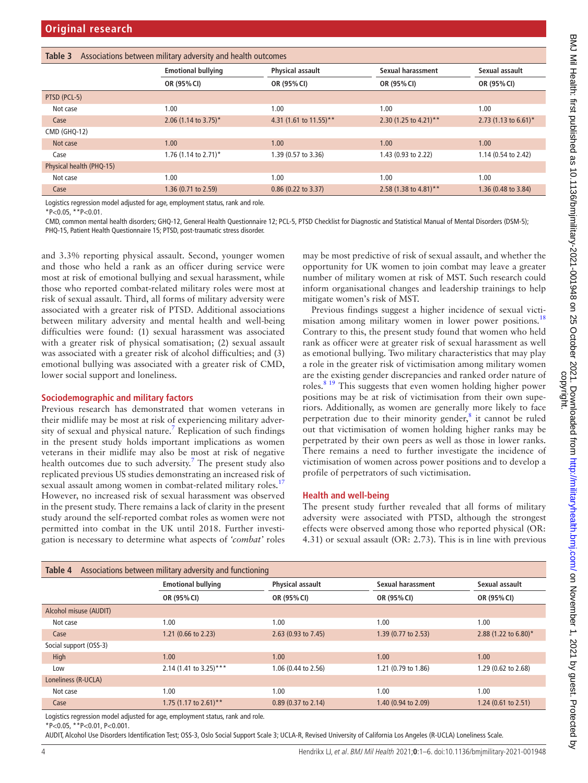<span id="page-3-0"></span>

| Associations between military adversity and health outcomes<br>Table 3 |                           |                         |                       |                      |  |
|------------------------------------------------------------------------|---------------------------|-------------------------|-----------------------|----------------------|--|
|                                                                        | <b>Emotional bullying</b> | <b>Physical assault</b> | Sexual harassment     | Sexual assault       |  |
|                                                                        | OR (95% CI)               | OR (95% CI)             | OR (95% CI)           | OR (95% CI)          |  |
| PTSD (PCL-5)                                                           |                           |                         |                       |                      |  |
| Not case                                                               | 1.00                      | 1.00                    | 1.00                  | 1.00                 |  |
| Case                                                                   | 2.06 (1.14 to 3.75)*      | 4.31 (1.61 to 11.55)**  | 2.30 (1.25 to 4.21)** | 2.73 (1.13 to 6.61)* |  |
| <b>CMD (GHQ-12)</b>                                                    |                           |                         |                       |                      |  |
| Not case                                                               | 1.00                      | 1.00                    | 1.00                  | 1.00                 |  |
| Case                                                                   | 1.76 (1.14 to 2.71)*      | 1.39 (0.57 to 3.36)     | 1.43 (0.93 to 2.22)   | 1.14 (0.54 to 2.42)  |  |
| Physical health (PHQ-15)                                               |                           |                         |                       |                      |  |
| Not case                                                               | 1.00                      | 1.00                    | 1.00                  | 1.00                 |  |
| Case                                                                   | 1.36 (0.71 to 2.59)       | $0.86$ (0.22 to 3.37)   | 2.58 (1.38 to 4.81)** | 1.36 (0.48 to 3.84)  |  |

Logistics regression model adjusted for age, employment status, rank and role.

\*P<0.05, \*\*P<0.01.

CMD, common mental health disorders; GHQ-12, General Health Questionnaire 12; PCL-5, PTSD Checklist for Diagnostic and Statistical Manual of Mental Disorders (DSM-5); PHQ-15, Patient Health Questionnaire 15; PTSD, post-traumatic stress disorder.

and 3.3% reporting physical assault. Second, younger women and those who held a rank as an officer during service were most at risk of emotional bullying and sexual harassment, while those who reported combat-related military roles were most at risk of sexual assault. Third, all forms of military adversity were associated with a greater risk of PTSD. Additional associations between military adversity and mental health and well-being difficulties were found: (1) sexual harassment was associated with a greater risk of physical somatisation; (2) sexual assault was associated with a greater risk of alcohol difficulties; and (3) emotional bullying was associated with a greater risk of CMD, lower social support and loneliness.

# **Sociodemographic and military factors**

Previous research has demonstrated that women veterans in their midlife may be most at risk of experiencing military adver-sity of sexual and physical nature.<sup>[7](#page-5-3)</sup> Replication of such findings in the present study holds important implications as women veterans in their midlife may also be most at risk of negative health outcomes due to such adversity.<sup>[7](#page-5-3)</sup> The present study also replicated previous US studies demonstrating an increased risk of sexual assault among women in combat-related military roles.<sup>[17](#page-5-13)</sup> However, no increased risk of sexual harassment was observed in the present study. There remains a lack of clarity in the present study around the self-reported combat roles as women were not permitted into combat in the UK until 2018. Further investigation is necessary to determine what aspects of *'combat'* roles

may be most predictive of risk of sexual assault, and whether the opportunity for UK women to join combat may leave a greater number of military women at risk of MST. Such research could inform organisational changes and leadership trainings to help mitigate women's risk of MST.

Previous findings suggest a higher incidence of sexual victi-misation among military women in lower power positions.<sup>[18](#page-5-14)</sup> Contrary to this, the present study found that women who held rank as officer were at greater risk of sexual harassment as well as emotional bullying. Two military characteristics that may play a role in the greater risk of victimisation among military women are the existing gender discrepancies and ranked order nature of roles.[8 19](#page-5-4) This suggests that even women holding higher power positions may be at risk of victimisation from their own superiors. Additionally, as women are generally more likely to face perpetration due to their minority gender, $<sup>8</sup>$  $<sup>8</sup>$  $<sup>8</sup>$  it cannot be ruled</sup> out that victimisation of women holding higher ranks may be perpetrated by their own peers as well as those in lower ranks. There remains a need to further investigate the incidence of victimisation of women across power positions and to develop a profile of perpetrators of such victimisation.

# **Health and well-being**

The present study further revealed that all forms of military adversity were associated with PTSD, although the strongest effects were observed among those who reported physical (OR: 4.31) or sexual assault (OR: 2.73). This is in line with previous

| Table 4<br>Associations between military adversity and functioning |                                                                                                                 |                         |                     |                      |  |
|--------------------------------------------------------------------|-----------------------------------------------------------------------------------------------------------------|-------------------------|---------------------|----------------------|--|
|                                                                    | <b>Emotional bullying</b>                                                                                       | <b>Physical assault</b> | Sexual harassment   | Sexual assault       |  |
|                                                                    | OR (95% CI)                                                                                                     | OR (95% CI)             | OR (95% CI)         | OR (95% CI)          |  |
| Alcohol misuse (AUDIT)                                             |                                                                                                                 |                         |                     |                      |  |
| Not case                                                           | 1.00                                                                                                            | 1.00                    | 1.00                | 1.00                 |  |
| Case                                                               | 1.21 (0.66 to 2.23)                                                                                             | 2.63 (0.93 to 7.45)     | 1.39 (0.77 to 2.53) | 2.88 (1.22 to 6.80)* |  |
| Social support (OSS-3)                                             |                                                                                                                 |                         |                     |                      |  |
| High                                                               | 1.00                                                                                                            | 1.00                    | 1.00                | 1.00                 |  |
| Low                                                                | 2.14 (1.41 to 3.25)***                                                                                          | 1.06 (0.44 to 2.56)     | 1.21 (0.79 to 1.86) | 1.29 (0.62 to 2.68)  |  |
| Loneliness (R-UCLA)                                                |                                                                                                                 |                         |                     |                      |  |
| Not case                                                           | 1.00                                                                                                            | 1.00                    | 1.00                | 1.00                 |  |
| Case                                                               | 1.75 (1.17 to 2.61)**                                                                                           | $0.89$ (0.37 to 2.14)   | 1.40 (0.94 to 2.09) | 1.24 (0.61 to 2.51)  |  |
| .                                                                  | the contract of the contract of the contract of the contract of the contract of the contract of the contract of |                         |                     |                      |  |

Logistics regression model adjusted for age, employment status, rank and role.

\*P<0.05, \*\*P<0.01, P<0.001.

AUDIT, Alcohol Use Disorders Identification Test; OSS-3, Oslo Social Support Scale 3; UCLA-R, Revised University of California Los Angeles (R-UCLA) Loneliness Scale.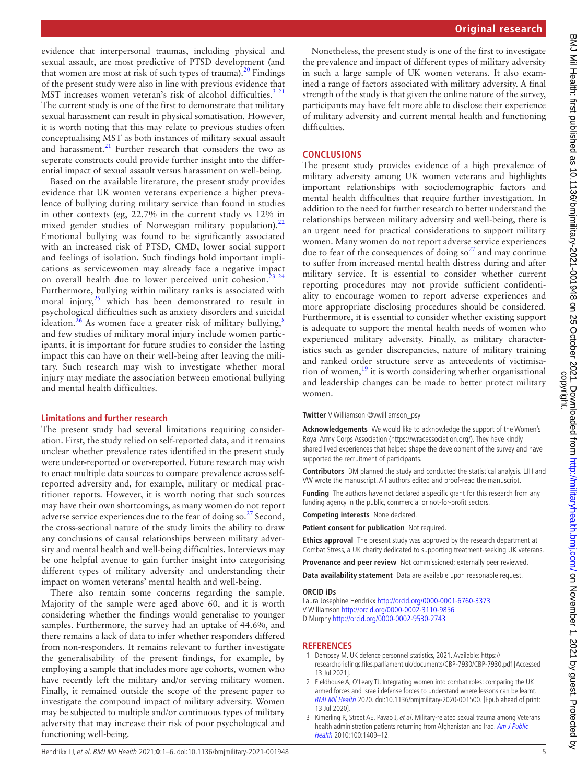BMJ Mil Health: first published as 10.1136/bmjmilitary-2021-001948 on 25 October 2021. Downloaded from http://militaryhealth.bmj.com/ on November 1, 2021 by guest. Protected by<br>copyright. BMJ Mil Health: first published as 10.1136/bmjmilitary-2021-001948 on 25 October 2021. Downloaded from bowloaded from builitary-1021-001948 on 25 October 2021. Downloaded from builitary-2021-001948 on 25 October 2021. Down

evidence that interpersonal traumas, including physical and sexual assault, are most predictive of PTSD development (and that women are most at risk of such types of trauma).<sup>[20](#page-5-15)</sup> Findings of the present study were also in line with previous evidence that MST increases women veteran's risk of alcohol difficulties.<sup>3 21</sup> The current study is one of the first to demonstrate that military sexual harassment can result in physical somatisation. However, it is worth noting that this may relate to previous studies often conceptualising MST as both instances of military sexual assault and harassment. $21$  Further research that considers the two as seperate constructs could provide further insight into the differential impact of sexual assault versus harassment on well-being.

Based on the available literature, the present study provides evidence that UK women veterans experience a higher prevalence of bullying during military service than found in studies in other contexts (eg, 22.7% in the current study vs 12% in mixed gender studies of Norwegian military population). $^{22}$  $^{22}$  $^{22}$ Emotional bullying was found to be significantly associated with an increased risk of PTSD, CMD, lower social support and feelings of isolation. Such findings hold important implications as servicewomen may already face a negative impact on overall health due to lower perceived unit cohesion.<sup>23</sup>  $24$ Furthermore, bullying within military ranks is associated with moral injury, $25$  which has been demonstrated to result in psychological difficulties such as anxiety disorders and suicidal ideation.<sup>[26](#page-5-20)</sup> As women face a greater risk of military bullying,<sup>8</sup> and few studies of military moral injury include women participants, it is important for future studies to consider the lasting impact this can have on their well-being after leaving the military. Such research may wish to investigate whether moral injury may mediate the association between emotional bullying and mental health difficulties.

#### **Limitations and further research**

The present study had several limitations requiring consideration. First, the study relied on self-reported data, and it remains unclear whether prevalence rates identified in the present study were under-reported or over-reported. Future research may wish to enact multiple data sources to compare prevalence across selfreported adversity and, for example, military or medical practitioner reports. However, it is worth noting that such sources may have their own shortcomings, as many women do not report adverse service experiences due to the fear of doing so. $27$  Second, the cross-sectional nature of the study limits the ability to draw any conclusions of causal relationships between military adversity and mental health and well-being difficulties. Interviews may be one helpful avenue to gain further insight into categorising different types of military adversity and understanding their impact on women veterans' mental health and well-being.

There also remain some concerns regarding the sample. Majority of the sample were aged above 60, and it is worth considering whether the findings would generalise to younger samples. Furthermore, the survey had an uptake of 44.6%, and there remains a lack of data to infer whether responders differed from non-responders. It remains relevant to further investigate the generalisability of the present findings, for example, by employing a sample that includes more age cohorts, women who have recently left the military and/or serving military women. Finally, it remained outside the scope of the present paper to investigate the compound impact of military adversity. Women may be subjected to multiple and/or continuous types of military adversity that may increase their risk of poor psychological and functioning well-being.

Nonetheless, the present study is one of the first to investigate the prevalence and impact of different types of military adversity in such a large sample of UK women veterans. It also examined a range of factors associated with military adversity. A final strength of the study is that given the online nature of the survey, participants may have felt more able to disclose their experience of military adversity and current mental health and functioning difficulties.

#### **CONCLUSIONS**

The present study provides evidence of a high prevalence of military adversity among UK women veterans and highlights important relationships with sociodemographic factors and mental health difficulties that require further investigation. In addition to the need for further research to better understand the relationships between military adversity and well-being, there is an urgent need for practical considerations to support military women. Many women do not report adverse service experiences due to fear of the consequences of doing  $\pi^{27}$  and may continue to suffer from increased mental health distress during and after military service. It is essential to consider whether current reporting procedures may not provide sufficient confidentiality to encourage women to report adverse experiences and more appropriate disclosing procedures should be considered. Furthermore, it is essential to consider whether existing support is adequate to support the mental health needs of women who experienced military adversity. Finally, as military characteristics such as gender discrepancies, nature of military training and ranked order structure serve as antecedents of victimisation of women, $19$  it is worth considering whether organisational and leadership changes can be made to better protect military women.

**Twitter** V Williamson [@vwilliamson\\_psy](https://twitter.com/vwilliamson_psy)

**Acknowledgements** We would like to acknowledge the support of the Women's Royal Army Corps Association [\(https://wracassociation.org/\)](https://wracassociation.org/). They have kindly shared lived experiences that helped shape the development of the survey and have supported the recruitment of participants.

**Contributors** DM planned the study and conducted the statistical analysis. LJH and VW wrote the manuscript. All authors edited and proof-read the manuscript.

**Funding** The authors have not declared a specific grant for this research from any funding agency in the public, commercial or not-for-profit sectors.

**Competing interests** None declared.

**Patient consent for publication** Not required.

**Ethics approval** The present study was approved by the research department at Combat Stress, a UK charity dedicated to supporting treatment-seeking UK veterans.

**Provenance and peer review** Not commissioned; externally peer reviewed.

**Data availability statement** Data are available upon reasonable request.

#### **ORCID iDs**

Laura Josephine Hendrikx <http://orcid.org/0000-0001-6760-3373> V Williamson<http://orcid.org/0000-0002-3110-9856> D Murphy<http://orcid.org/0000-0002-9530-2743>

#### **REFERENCES**

- <span id="page-4-0"></span>1 Dempsey M. UK defence personnel statistics, 2021. Available: [https://](https://researchbriefings.files.parliament.uk/documents/CBP-7930/CBP-7930.pdf) [researchbriefings.files.parliament.uk/documents/CBP-7930/CBP-7930.pdf](https://researchbriefings.files.parliament.uk/documents/CBP-7930/CBP-7930.pdf) [Accessed 13 Jul 2021].
- <span id="page-4-1"></span>2 Fieldhouse A, O'Leary TJ. Integrating women into combat roles: comparing the UK armed forces and Israeli defense forces to understand where lessons can be learnt. [BMJ Mil Health](http://dx.doi.org/10.1136/bmjmilitary-2020-001500) 2020. doi:10.1136/bmjmilitary-2020-001500. [Epub ahead of print: 13 Jul 2020].
- <span id="page-4-2"></span>3 Kimerling R, Street AE, Pavao J, et al. Military-related sexual trauma among Veterans health administration patients returning from Afghanistan and Iraq. Am J Public [Health](http://dx.doi.org/10.2105/AJPH.2009.171793) 2010;100:1409–12.